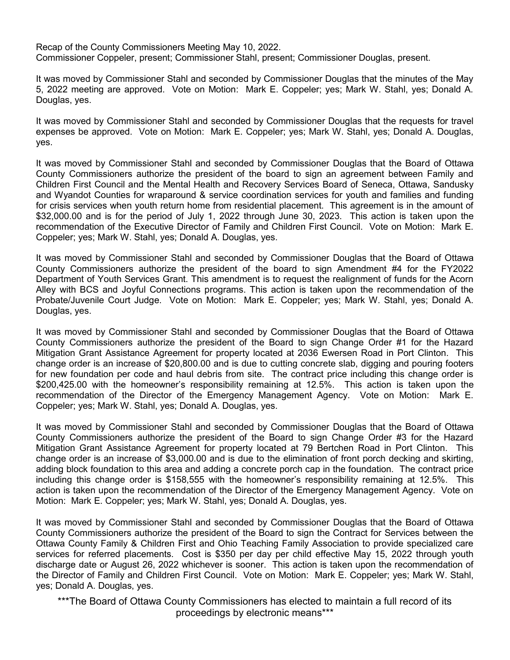Recap of the County Commissioners Meeting May 10, 2022. Commissioner Coppeler, present; Commissioner Stahl, present; Commissioner Douglas, present.

It was moved by Commissioner Stahl and seconded by Commissioner Douglas that the minutes of the May 5, 2022 meeting are approved. Vote on Motion: Mark E. Coppeler; yes; Mark W. Stahl, yes; Donald A. Douglas, yes.

It was moved by Commissioner Stahl and seconded by Commissioner Douglas that the requests for travel expenses be approved. Vote on Motion: Mark E. Coppeler; yes; Mark W. Stahl, yes; Donald A. Douglas, yes.

It was moved by Commissioner Stahl and seconded by Commissioner Douglas that the Board of Ottawa County Commissioners authorize the president of the board to sign an agreement between Family and Children First Council and the Mental Health and Recovery Services Board of Seneca, Ottawa, Sandusky and Wyandot Counties for wraparound & service coordination services for youth and families and funding for crisis services when youth return home from residential placement. This agreement is in the amount of \$32,000.00 and is for the period of July 1, 2022 through June 30, 2023. This action is taken upon the recommendation of the Executive Director of Family and Children First Council. Vote on Motion: Mark E. Coppeler; yes; Mark W. Stahl, yes; Donald A. Douglas, yes.

It was moved by Commissioner Stahl and seconded by Commissioner Douglas that the Board of Ottawa County Commissioners authorize the president of the board to sign Amendment #4 for the FY2022 Department of Youth Services Grant. This amendment is to request the realignment of funds for the Acorn Alley with BCS and Joyful Connections programs. This action is taken upon the recommendation of the Probate/Juvenile Court Judge. Vote on Motion: Mark E. Coppeler; yes; Mark W. Stahl, yes; Donald A. Douglas, yes.

It was moved by Commissioner Stahl and seconded by Commissioner Douglas that the Board of Ottawa County Commissioners authorize the president of the Board to sign Change Order #1 for the Hazard Mitigation Grant Assistance Agreement for property located at 2036 Ewersen Road in Port Clinton. This change order is an increase of \$20,800.00 and is due to cutting concrete slab, digging and pouring footers for new foundation per code and haul debris from site. The contract price including this change order is \$200,425.00 with the homeowner's responsibility remaining at 12.5%. This action is taken upon the recommendation of the Director of the Emergency Management Agency. Vote on Motion: Mark E. Coppeler; yes; Mark W. Stahl, yes; Donald A. Douglas, yes.

It was moved by Commissioner Stahl and seconded by Commissioner Douglas that the Board of Ottawa County Commissioners authorize the president of the Board to sign Change Order #3 for the Hazard Mitigation Grant Assistance Agreement for property located at 79 Bertchen Road in Port Clinton. This change order is an increase of \$3,000.00 and is due to the elimination of front porch decking and skirting, adding block foundation to this area and adding a concrete porch cap in the foundation. The contract price including this change order is \$158,555 with the homeowner's responsibility remaining at 12.5%. This action is taken upon the recommendation of the Director of the Emergency Management Agency. Vote on Motion: Mark E. Coppeler; yes; Mark W. Stahl, yes; Donald A. Douglas, yes.

It was moved by Commissioner Stahl and seconded by Commissioner Douglas that the Board of Ottawa County Commissioners authorize the president of the Board to sign the Contract for Services between the Ottawa County Family & Children First and Ohio Teaching Family Association to provide specialized care services for referred placements. Cost is \$350 per day per child effective May 15, 2022 through youth discharge date or August 26, 2022 whichever is sooner. This action is taken upon the recommendation of the Director of Family and Children First Council. Vote on Motion: Mark E. Coppeler; yes; Mark W. Stahl, yes; Donald A. Douglas, yes.

\*\*\*The Board of Ottawa County Commissioners has elected to maintain a full record of its proceedings by electronic means\*\*\*